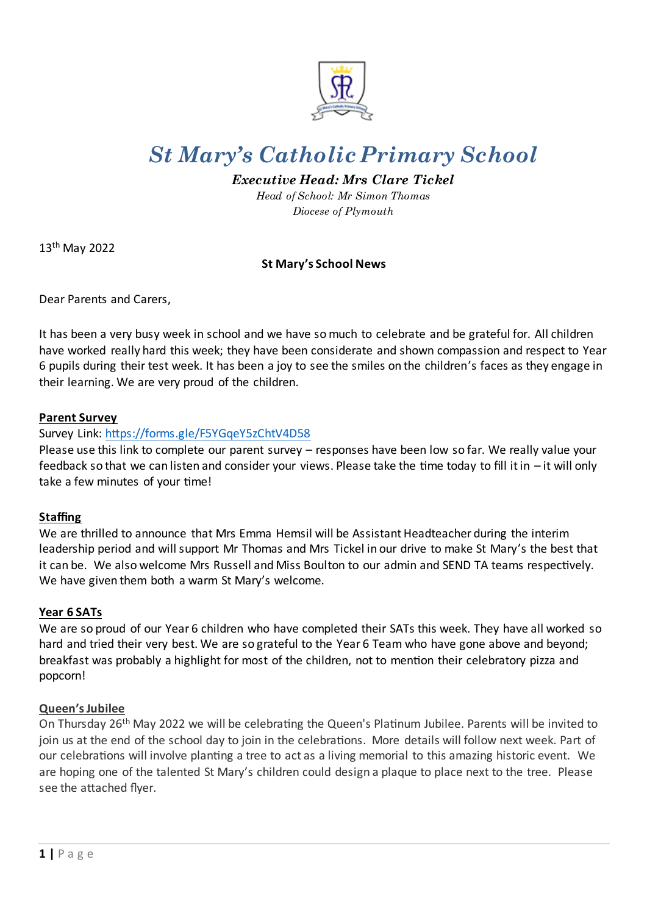

# *St Mary's Catholic Primary School*

# *Executive Head: Mrs Clare Tickel*

*Head of School: Mr Simon Thomas Diocese of Plymouth*

13th May 2022

# **St Mary's School News**

Dear Parents and Carers,

It has been a very busy week in school and we have so much to celebrate and be grateful for. All children have worked really hard this week; they have been considerate and shown compassion and respect to Year 6 pupils during their test week. It has been a joy to see the smiles on the children's faces as they engage in their learning. We are very proud of the children.

## **Parent Survey**

## Survey Link:<https://forms.gle/F5YGqeY5zChtV4D58>

Please use this link to complete our parent survey – responses have been low so far. We really value your feedback so that we can listen and consider your views. Please take the time today to fill it in – it will only take a few minutes of your time!

# **Staffing**

We are thrilled to announce that Mrs Emma Hemsil will be Assistant Headteacher during the interim leadership period and will support Mr Thomas and Mrs Tickel in our drive to make St Mary's the best that it can be. We also welcome Mrs Russell and Miss Boulton to our admin and SEND TA teams respectively. We have given them both a warm St Mary's welcome.

#### **Year 6 SATs**

We are so proud of our Year 6 children who have completed their SATs this week. They have all worked so hard and tried their very best. We are so grateful to the Year 6 Team who have gone above and beyond; breakfast was probably a highlight for most of the children, not to mention their celebratory pizza and popcorn!

#### **Queen's Jubilee**

On Thursday 26th May 2022 we will be celebrating the Queen's Platinum Jubilee. Parents will be invited to join us at the end of the school day to join in the celebrations. More details will follow next week. Part of our celebrations will involve planting a tree to act as a living memorial to this amazing historic event. We are hoping one of the talented St Mary's children could design a plaque to place next to the tree. Please see the attached flyer.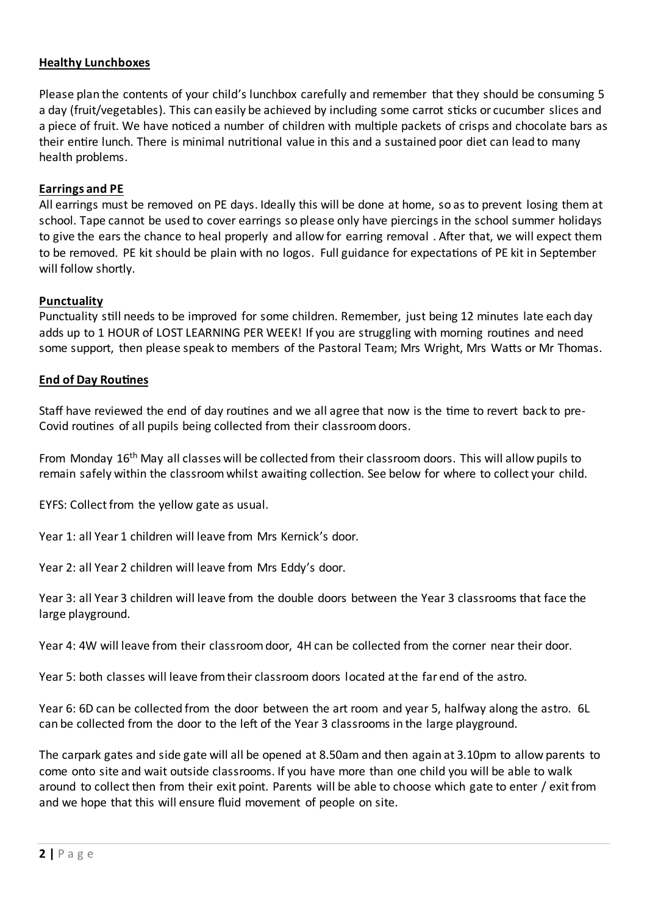## **Healthy Lunchboxes**

Please plan the contents of your child's lunchbox carefully and remember that they should be consuming 5 a day (fruit/vegetables). This can easily be achieved by including some carrot sticks or cucumber slices and a piece of fruit. We have noticed a number of children with multiple packets of crisps and chocolate bars as their entire lunch. There is minimal nutritional value in this and a sustained poor diet can lead to many health problems.

## **Earrings and PE**

All earrings must be removed on PE days. Ideally this will be done at home, so as to prevent losing them at school. Tape cannot be used to cover earrings so please only have piercings in the school summer holidays to give the ears the chance to heal properly and allow for earring removal . After that, we will expect them to be removed. PE kit should be plain with no logos. Full guidance for expectations of PE kit in September will follow shortly.

#### **Punctuality**

Punctuality still needs to be improved for some children. Remember, just being 12 minutes late each day adds up to 1 HOUR of LOST LEARNING PER WEEK! If you are struggling with morning routines and need some support, then please speak to members of the Pastoral Team; Mrs Wright, Mrs Watts or Mr Thomas.

#### **End of Day Routines**

Staff have reviewed the end of day routines and we all agree that now is the time to revert back to pre-Covid routines of all pupils being collected from their classroom doors.

From Monday 16th May all classes will be collected from their classroom doors. This will allow pupils to remain safely within the classroom whilst awaiting collection. See below for where to collect your child.

EYFS: Collect from the yellow gate as usual.

Year 1: all Year 1 children will leave from Mrs Kernick's door.

Year 2: all Year 2 children will leave from Mrs Eddy's door.

Year 3: all Year 3 children will leave from the double doors between the Year 3 classrooms that face the large playground.

Year 4: 4W will leave from their classroom door, 4H can be collected from the corner near their door.

Year 5: both classes will leave from their classroom doors located at the far end of the astro.

Year 6: 6D can be collected from the door between the art room and year 5, halfway along the astro. 6L can be collected from the door to the left of the Year 3 classrooms in the large playground.

The carpark gates and side gate will all be opened at 8.50am and then again at 3.10pm to allow parents to come onto site and wait outside classrooms. If you have more than one child you will be able to walk around to collect then from their exit point. Parents will be able to choose which gate to enter / exit from and we hope that this will ensure fluid movement of people on site.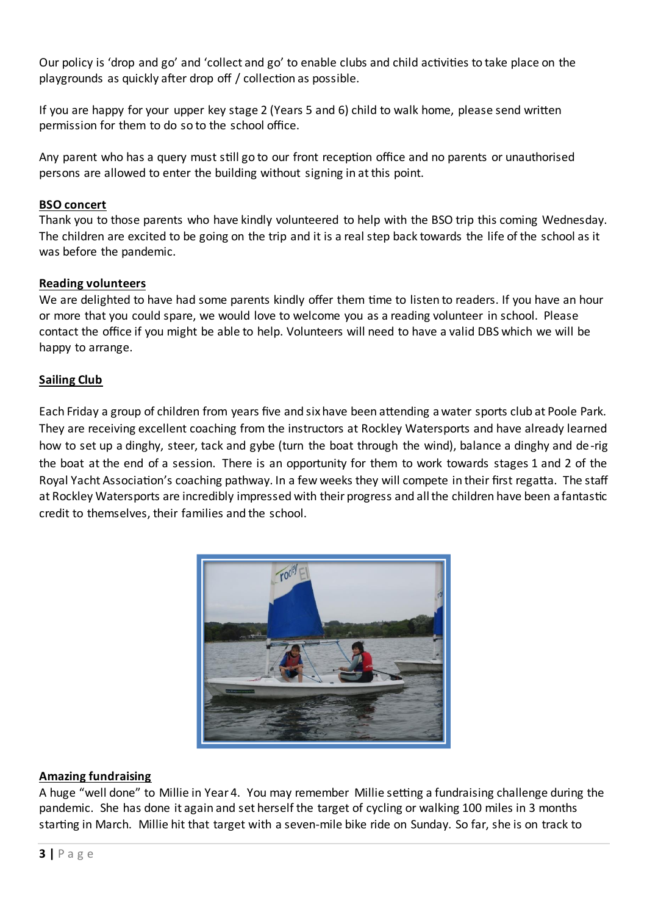Our policy is 'drop and go' and 'collect and go' to enable clubs and child activities to take place on the playgrounds as quickly after drop off / collection as possible.

If you are happy for your upper key stage 2 (Years 5 and 6) child to walk home, please send written permission for them to do so to the school office.

Any parent who has a query must still go to our front reception office and no parents or unauthorised persons are allowed to enter the building without signing in at this point.

# **BSO concert**

Thank you to those parents who have kindly volunteered to help with the BSO trip this coming Wednesday. The children are excited to be going on the trip and it is a real step back towards the life of the school as it was before the pandemic.

## **Reading volunteers**

We are delighted to have had some parents kindly offer them time to listen to readers. If you have an hour or more that you could spare, we would love to welcome you as a reading volunteer in school. Please contact the office if you might be able to help. Volunteers will need to have a valid DBS which we will be happy to arrange.

## **Sailing Club**

Each Friday a group of children from years five and six have been attending a water sports club at Poole Park. They are receiving excellent coaching from the instructors at Rockley Watersports and have already learned how to set up a dinghy, steer, tack and gybe (turn the boat through the wind), balance a dinghy and de-rig the boat at the end of a session. There is an opportunity for them to work towards stages 1 and 2 of the Royal Yacht Association's coaching pathway. In a few weeks they will compete in their first regatta. The staff at Rockley Watersports are incredibly impressed with their progress and all the children have been a fantastic credit to themselves, their families and the school.



# **Amazing fundraising**

A huge "well done" to Millie in Year 4. You may remember Millie setting a fundraising challenge during the pandemic. She has done it again and set herself the target of cycling or walking 100 miles in 3 months starting in March. Millie hit that target with a seven-mile bike ride on Sunday. So far, she is on track to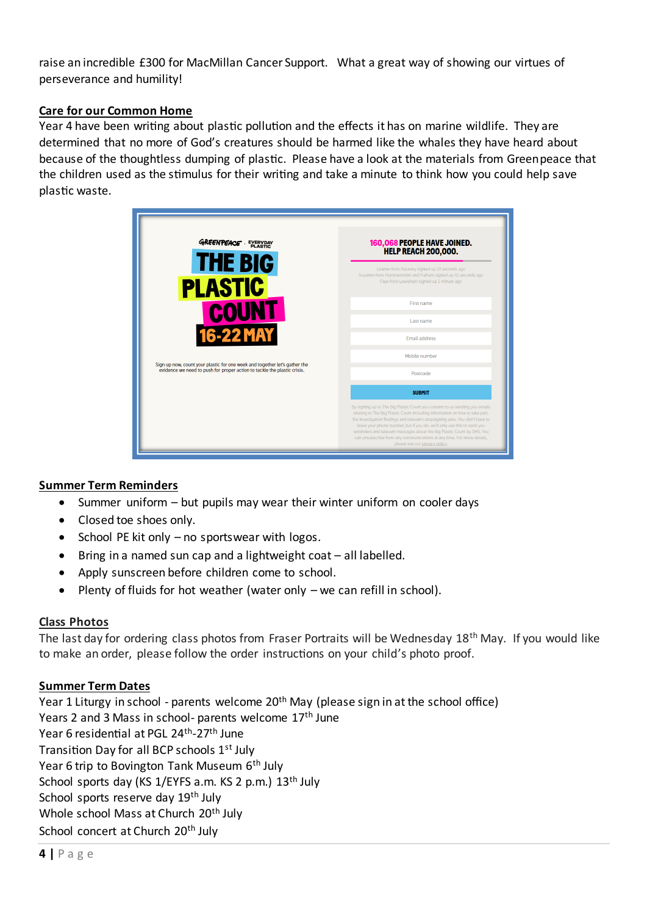raise an incredible £300 for MacMillan Cancer Support. What a great way of showing our virtues of perseverance and humility!

# **Care for our Common Home**

Year 4 have been writing about plastic pollution and the effects it has on marine wildlife. They are determined that no more of God's creatures should be harmed like the whales they have heard about because of the thoughtless dumping of plastic. Please have a look at the materials from Greenpeace that the children used as the stimulus for their writing and take a minute to think how you could help save plastic waste.

| <b>GREENPEACE</b> EVERYDAY<br><b>THE BIG</b><br><b>PLASTIC</b><br><b>COUNT</b><br><b>16-22 MAY</b><br>Sign up now, count your plastic for one week and together let's gather the<br>evidence we need to push for proper action to tackle the plastic crisis. | 160,068 PEOPLE HAVE JOINED.<br><b>HELP REACH 200,000.</b>                                                                                                                                                                                                                                                                                                                                                                                                                                                    |
|--------------------------------------------------------------------------------------------------------------------------------------------------------------------------------------------------------------------------------------------------------------|--------------------------------------------------------------------------------------------------------------------------------------------------------------------------------------------------------------------------------------------------------------------------------------------------------------------------------------------------------------------------------------------------------------------------------------------------------------------------------------------------------------|
|                                                                                                                                                                                                                                                              | Leanne from Hackney signed up 10 seconds ago<br>Suzanne from Hammersmith and Fulham signed up 41 seconds ago<br>Faye from Lewisham signed up 1 minute ago                                                                                                                                                                                                                                                                                                                                                    |
|                                                                                                                                                                                                                                                              | First name                                                                                                                                                                                                                                                                                                                                                                                                                                                                                                   |
|                                                                                                                                                                                                                                                              | Last name                                                                                                                                                                                                                                                                                                                                                                                                                                                                                                    |
|                                                                                                                                                                                                                                                              | <b>Email address</b>                                                                                                                                                                                                                                                                                                                                                                                                                                                                                         |
|                                                                                                                                                                                                                                                              | Mobile number                                                                                                                                                                                                                                                                                                                                                                                                                                                                                                |
|                                                                                                                                                                                                                                                              | Postcode                                                                                                                                                                                                                                                                                                                                                                                                                                                                                                     |
|                                                                                                                                                                                                                                                              | <b>SUBMIT</b>                                                                                                                                                                                                                                                                                                                                                                                                                                                                                                |
|                                                                                                                                                                                                                                                              | By signing up to The Big Plastic Count you consent to us sending you emails<br>relating to The Big Plastic Count including information on how to take part,<br>the investigation findings and relevant campaigning asks. You don't have to<br>leave your phone number, but if you do, we'll only use this to send you<br>reminders and relevant messages about the Big Plastic Count by SMS. You<br>can unsubscribe from any communications at any time. For more details,<br>please see our privacy policy. |

# **Summer Term Reminders**

- Summer uniform but pupils may wear their winter uniform on cooler days
- Closed toe shoes only.
- School PE kit only no sportswear with logos.
- Bring in a named sun cap and a lightweight coat all labelled.
- Apply sunscreen before children come to school.
- Plenty of fluids for hot weather (water only we can refill in school).

#### **Class Photos**

The last day for ordering class photos from Fraser Portraits will be Wednesday 18<sup>th</sup> May. If you would like to make an order, please follow the order instructions on your child's photo proof.

#### **Summer Term Dates**

Year 1 Liturgy in school - parents welcome 20<sup>th</sup> May (please sign in at the school office) Years 2 and 3 Mass in school- parents welcome 17<sup>th</sup> June Year 6 residential at PGL 24<sup>th</sup>-27<sup>th</sup> June Transition Day for all BCP schools 1st July Year 6 trip to Bovington Tank Museum 6<sup>th</sup> July School sports day (KS 1/EYFS a.m. KS 2 p.m.) 13<sup>th</sup> July School sports reserve day 19<sup>th</sup> July Whole school Mass at Church 20<sup>th</sup> July School concert at Church 20<sup>th</sup> July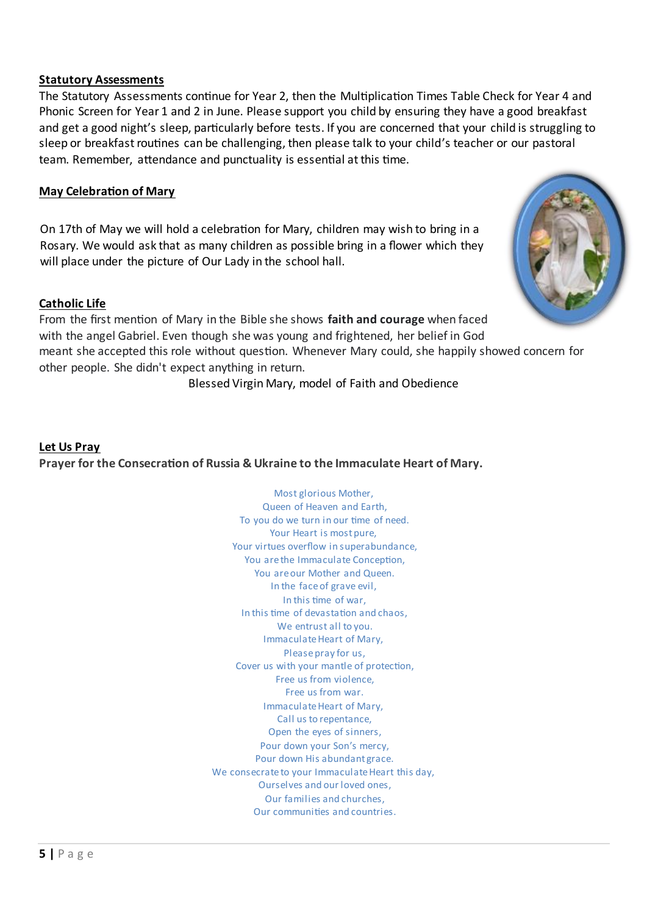#### **Statutory Assessments**

The Statutory Assessments continue for Year 2, then the Multiplication Times Table Check for Year 4 and Phonic Screen for Year 1 and 2 in June. Please support you child by ensuring they have a good breakfast and get a good night's sleep, particularly before tests. If you are concerned that your child is struggling to sleep or breakfast routines can be challenging, then please talk to your child's teacher or our pastoral team. Remember, attendance and punctuality is essential at this time.

## **May Celebration of Mary**

On 17th of May we will hold a celebration for Mary, children may wish to bring in a Rosary. We would ask that as many children as possible bring in a flower which they will place under the picture of Our Lady in the school hall.

#### **Catholic Life**

From the first mention of Mary in the Bible she shows **faith and courage** when faced with the angel Gabriel. Even though she was young and frightened, her belief in God meant she accepted this role without question. Whenever Mary could, she happily showed concern for other people. She didn't expect anything in return.

Blessed Virgin Mary, model of Faith and Obedience

# **Let Us Pray Prayer for the Consecration of Russia & Ukraine to the Immaculate Heart of Mary.**

Most glorious Mother, Queen of Heaven and Earth, To you do we turn in our time of need. Your Heart is most pure, Your virtues overflow in superabundance, You are the Immaculate Conception, You are our Mother and Queen. In the face of grave evil, In this time of war, In this time of devastation and chaos, We entrust all to you. Immaculate Heart of Mary, Please pray for us, Cover us with your mantle of protection, Free us from violence, Free us from war. Immaculate Heart of Mary, Call us to repentance, Open the eyes of sinners, Pour down your Son's mercy, Pour down His abundant grace. We consecrate to your Immaculate Heart this day, Ourselves and our loved ones, Our families and churches, Our communities and countries.